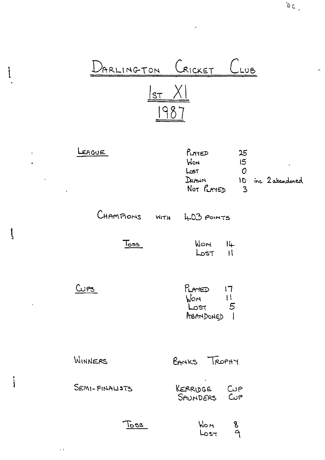

 $\biggl\{$ 

 $\overline{\mathfrak{l}}$ 

Ì

 $\mathbb{R}^2$  $\ddot{\phantom{a}}$ 

 $\ddot{\phantom{a}}$ 

 $\mathcal{L}(\mathcal{L}^{\text{max}})$ 

 $\overline{\phantom{a}}$ 

 $\hat{f}$   $\hat{A}$ 

| EAGUE          | PLAYED<br>25<br>WON<br>15<br>$\overline{O}$<br>حصا<br>DRAWN<br>10<br>Not PLAYED<br>$\overline{3}$ | inc 2 abandoned |
|----------------|---------------------------------------------------------------------------------------------------|-----------------|
|                | CHAMPIONS WITH 403 POINTS                                                                         |                 |
| <u>Toss_</u>   | $M$ on $14$<br>$\mathsf{Lost}$ $\mathsf{II}$                                                      |                 |
| Cups           | $P_{LATED}$ 17<br>$Won$ $11$<br>$Lost$ 5<br>ABANDONED 1                                           |                 |
| WINNERS        | BANKS TROPHY                                                                                      |                 |
| SEMI-FINALISTS | KERRIDGE CUP<br>SAUNDERS CUP                                                                      |                 |
| $\sqrt{683}$   | <b>WOM</b><br>8<br>٩<br>${\sf Loss}$                                                              |                 |

 $\omega$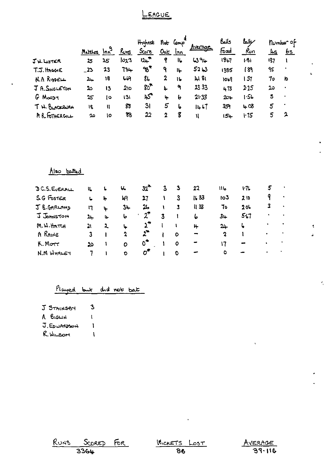#### LEAGUE

|                    |         |        |      | Highest      | net    | Conp |               | Balls   | مكالعا   |            | number of |
|--------------------|---------|--------|------|--------------|--------|------|---------------|---------|----------|------------|-----------|
|                    | Matches | $ln^3$ | Runs | <b>Score</b> | $0$ uk | Inn  | <u>Avenac</u> | ત્વિજ્ય | ሌ∩       | <u>م ا</u> | <u>6s</u> |
| $J$ W. LISTER      | 25      | 25     | 1023 | $12+$        | የ      | 16   | 4394          | 1847    | $1 - 61$ | 137        |           |
| $T.S.$ HnosenE     | _23     | 23     | 734  | ფ*           | ۹      | 14   | $52 + 3$      | 1385    | । ४१     | 95         |           |
| <b>N.A RIDDELL</b> | ٣       | 18     | 44   | 86           | 2      | 16   | 41 81         | 1019    | । ऽ1     | 70         | 10        |
| J R. SNGLETON      | 2ు      | 13     | 2וס  | 80°          | 4      | ٩    | 2333          | 473     | 2.25     | د2         |           |
| G MOODY            | 25      | i o    | 131  | محما         | 4      | b    | 21.33         | $20 +$  | 1.56     | 5          |           |
| T. W. BLACKBURN    | 18      | 11     | 83   | 31           | 5      | ها   | 1467          | 359     | 408      | 5          |           |
| A R. FOTHERGILL    | 20      | ١o     | 88   | 22           | 2      | g    | N             | $15 -$  | 1.75     | 5          | 2         |

 $\overline{a}$ 

#### Also betted

| D C.S. EVERALL | ι. | Ь            | Ч.          | $32^{\circ}$             |   | 3       | 22   | ما ا ا | いてん             | 5 |           |  |
|----------------|----|--------------|-------------|--------------------------|---|---------|------|--------|-----------------|---|-----------|--|
| SG FostER      | L  | 4            | ŀЯ          | 27                       |   | 3       | 1633 | 103    | 210             |   | ٠         |  |
| J B.GRRLAND    | 17 | ù.           | $3+$        | 26                       |   | 3       | ॥ 33 | To     | 20 <sub>1</sub> | 3 | $\bullet$ |  |
| J JOHNSTON     | 24 | 4            | ما          | $2^{\tau}$               | 3 |         | 6    | $34 -$ | 5.7             |   | $\bullet$ |  |
| M.W.HATCH      | 21 | $\mathbf{z}$ | ₩           |                          |   |         | ⊬    | $24 -$ | ۰b              |   | ٠         |  |
| A RAINE        | 3  |              | 2           | $\mathfrak{L}^{\bullet}$ |   | $\circ$ |      | 2      |                 | ٠ |           |  |
| K. Morr        | ಖ  |              | $\circ$     | 0"                       |   | $\circ$ |      |        |                 | ٠ |           |  |
| $N.M$ WHALEY   |    |              | $\mathbf o$ | σ*                       |   | Đ       |      | ٥      |                 | ٠ |           |  |

### Played but did not bat

 $\mathbf{3}$ 

 $\bar{\rm t}$ 

 $\mathbf{I}$ 

 $\overline{\mathbf{I}}$ 

- J STRINSBY
- A BIGLIN
- J. EDWARDSON
- R. WILSOM

| RUNS SCORED FOR | WICKETS LOST | <u>Av</u> |
|-----------------|--------------|-----------|
| 3364            | 86           |           |



÷.

Ŷ,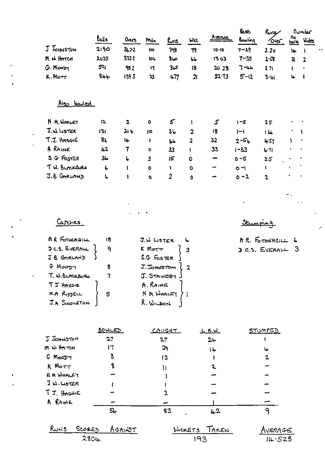|                              |                    |                         |                            |                |                         |               | عمى      | Rung            |              | number         |
|------------------------------|--------------------|-------------------------|----------------------------|----------------|-------------------------|---------------|----------|-----------------|--------------|----------------|
|                              | balls              | Overs                   | Mdn                        | <u>Runs</u>    | <b>WLL</b>              | <u>Avenge</u> | Bowling  | Over            |              | ho Mides       |
| <b>J</b> JOHNSTON            | 2190               | 3,22                    | 10 <sub>1</sub>            | 198            | Τ۹                      | $10 - 10$     | $7 - 29$ | 220             | $\mathbf{b}$ | f.             |
| M IN HATCH                   | 2035               | 3332                    | 101.                       | ص8             | $\iota$                 | 1303          | $7 - 35$ | 2.58            | 31           | $\overline{2}$ |
| G. Moosy                     | 591                | 982                     | $\mathbf{17}$              | 35             | 18                      | 20 28         | $7 - 44$ | 371             | V            | $\bullet$      |
| K.Mott                       | $8+4$              | 1395                    | $\boldsymbol{\mathcal{X}}$ | 477            | $\mathfrak A$           | 22.73         | $5 - 12$ | 3.41            | 4            | $\mathbf{I}$   |
|                              |                    |                         |                            |                |                         |               |          |                 |              |                |
| Also bouled                  |                    |                         |                            |                |                         |               |          |                 |              |                |
| <b>N. M. WHALEY</b>          | 12                 | $\overline{\mathbf{z}}$ | $\circ$                    | $5^{\circ}$    | 1                       | $\mathcal{S}$ | $1 - 5$  | 25              |              |                |
| J.W. LISTER                  | 3                  | 214                     | JO                         | 3 <sub>b</sub> | $\mathbf 2$             | 18            | $1 - 1$  | 14              |              |                |
| T.J. HAGGIE                  | 8 <sub>b</sub>     | ١Ļ                      | 1                          | b4             | $\overline{\mathbf{z}}$ | 32            | $2 - 5.$ | 457             |              |                |
| A RAINE                      | $\mu$ <sub>2</sub> | 7                       | ۰                          | 33             | ŧ                       | 33            | $1 - 33$ | 4.71            |              |                |
| S G FOSTER                   | 3 <sub>o</sub>     | 6                       | 3                          | 15             | o                       | ∽             | $0 - 5$  | 2.5             |              |                |
| T. W. BLACKBURN              | 6                  | $\mathbf{I}$            | $\bullet$                  | $\mathbf{I}$   | $\circ$                 | ⊷             | $O - 1$  | L               |              |                |
| J.B GARLAND                  | ι                  | ۱                       | ۰                          | $\overline{z}$ | ٥                       |               | $0 - 2$  | $\mathbf 2$     |              |                |
|                              |                    |                         |                            |                |                         |               |          |                 |              |                |
|                              |                    |                         |                            |                |                         |               |          |                 | п.           |                |
|                              |                    |                         |                            |                |                         |               |          |                 |              |                |
| Carches                      |                    |                         |                            |                |                         |               |          |                 |              | r.             |
| AR FOTHERGILL                | 18                 |                         | J.W LISTER                 |                | 4                       |               |          | A.R. FOTHERGILL | 6            |                |
| DC.S. EVERALL                | $\mathsf{P}$       |                         | K Morr                     |                | 3                       |               |          | J C.S. EVERALL  | 3            |                |
| J B GARLAND                  |                    |                         | S.G FOSTER                 |                |                         |               |          |                 |              |                |
| G MOODY                      | 8                  |                         | J. JOHNSTON                |                | $\overline{\mathbf{2}}$ |               |          |                 |              |                |
| T. W. BLACKBURN              | 7                  |                         | J. STAINSBY                |                |                         |               |          |                 |              |                |
| T J HAGGIE                   |                    |                         | A. RAINE                   |                |                         |               |          |                 |              |                |
| <b>N.A RIDDELL</b>           | 5                  |                         | N M WHALEY                 |                |                         |               |          |                 |              |                |
| J.A SINGLETON                |                    |                         | $R.$ WILSON                |                |                         |               |          |                 |              |                |
|                              |                    |                         |                            |                |                         |               |          |                 |              |                |
|                              | <u>BOWLED</u>      |                         |                            | CAUGHT         |                         | <u>LBW</u>    |          | <u>STUMPED</u>  |              |                |
| J JOHNSTON                   | 27                 |                         |                            | 27             |                         | $24 -$        |          |                 |              |                |
| m w. HATCH                   | 17                 |                         |                            | 29             |                         | 14            |          | ما              |              |                |
| G MOODY                      | 3                  |                         |                            | 12             |                         | t             |          | $\mathbf{z}$    |              |                |
| K MOTT                       | 8                  |                         |                            | ₩              |                         | 2             |          |                 |              |                |
| N M WHALEY                   |                    |                         |                            |                |                         |               |          |                 |              |                |
| <b>JW.LISTER</b>             |                    |                         |                            |                |                         |               |          |                 |              |                |
| TJ. HAGGIE                   |                    |                         |                            | 2              |                         |               |          |                 |              |                |
| A RAINE                      |                    |                         |                            |                |                         |               |          |                 |              |                |
|                              | 5 <sub>o</sub>     |                         |                            | 83             |                         | $4 - 2$       |          | 9               |              |                |
| $R_{W_1}$<br><u> Score ک</u> |                    | <u>AGAINST</u>          |                            |                | WICKETS                 | TAKEN         |          | AVERAGE         |              |                |
| 2804                         |                    |                         |                            |                | 193                     |               |          | 14.528          |              |                |

 $\blacksquare$  $\overline{\phantom{a}}$ 

 $\bullet$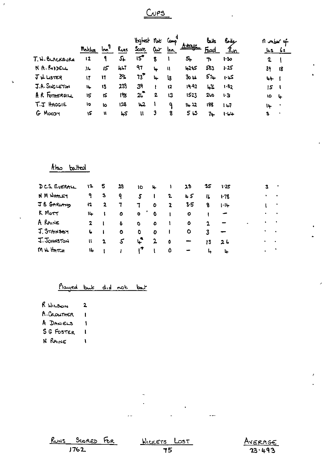## $C<sub>UPS</sub>$

|                 | Mathes  | $\mathbf{r}$ | <b>Runs</b> | itighesh<br>عمد | تمعا<br>ar | أمسعا<br>Inn. | Avenue           | لمناه<br>Ficed | حالمكا<br><u>Ryn</u> | n mber of<br><u>Ls</u> |           |
|-----------------|---------|--------------|-------------|-----------------|------------|---------------|------------------|----------------|----------------------|------------------------|-----------|
| T. N. BLACKBURN | $12 \,$ | 9            | 51          | یج ا            | 8          |               | 54               | ኈ              | 1:30                 | 2                      |           |
| N. A. RIDDELL   | مال     | 15           | 467         | 97              | 4          | W             | 4215             | 583            | 1.25                 | 39                     | 18        |
| $J\mu$ LISTER   | 17      | 17           | 391         | $73^{\degree}$  | lų.        | l3            | 30 <sub>14</sub> | 574            | کیا ۱۰               | 44                     |           |
| J.A. SINGLETON  | 11      | 13           | 23)         | 39              |            | $\mathbf{12}$ | 19.92            | یمنا           | 1.82                 | 15                     |           |
| AR FOTHERGILL   | 15      | ١S           | 198         | 25              | 2          | 13            | 1523             | 200            | 1.31                 | 10                     | ┕         |
| T.J HAGGIE      | 10      | ю            | 128         | $\mu$ 2         |            | ٩             | 14 22            | 188            | u                    | l٤.                    |           |
| G MOODY         | ۱5      | u            | 45          | u               | 3          | 8             | ۍ 5              | 74             | 1.64                 | 3                      | $\bullet$ |

## Also batted

 $\overline{1}$ 

| DCS EVERALL | 12           | 5 | 28        | 10           | 4            |    | 28      | 35          | 1.25     |   | 3         | ٠                        |
|-------------|--------------|---|-----------|--------------|--------------|----|---------|-------------|----------|---|-----------|--------------------------|
| N M WHALEY  | ۹.           | З | ୍ଦ        | 5            | $\mathbf{I}$ | 2. | 45      | lL.         | $1 - 78$ |   |           | ٠                        |
| JB GARLAND  | 12           | 2 | 7         | $\mathbf{T}$ | $\bullet$    | 2  | 3.5     | 8           | $1 - 14$ |   |           | ٠                        |
| K Morr      | 14           |   | $\bullet$ | $\bullet$    | $\bullet$    |    | o       |             |          |   |           | $\bullet$                |
| A RAINE     | $\mathbf{2}$ |   | Ô         | $\bullet$    | ٥            | 1  | $\circ$ | $\mathbf 2$ |          | ۰ | $\bullet$ |                          |
| J. STAINSBY | L            |   | Ō         | O            | O            |    | ٥       | 3           |          |   | ٠         | $\overline{\phantom{a}}$ |
| J. JOHNSTON | W            | 2 | 5.        | $\mathbf{r}$ | $\mathbf{2}$ | 0  |         | 13          | 26       |   | ٠         | $\sim$                   |
| M N HATCH   | 16           |   |           | ı۴           |              | 0  |         | ↳           | ъ.       |   | $\bullet$ |                          |

### Played but did not but

| R WILSON    | 2 |
|-------------|---|
| A. CROWTHER | L |
| A DANIELS   | ١ |

SG FOSTER  $\mathbf{l}$ 

N RAINE  $\mathbf{I}$ 



 $\ddot{\phantom{1}}$ 

 $\ddotsc$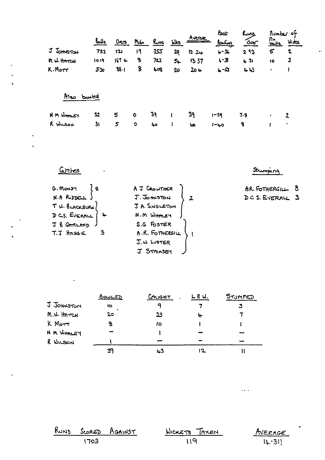|                  | $0$             | Ours     | Mdn       | Runs | <u>Nks</u> | Avence  | &st<br><u>bowing</u> | Runs<br>഻഻൧൷ | $\frac{R_{\text{out}}}{R_{\text{out}}}$ | Rumber of<br>Wides |
|------------------|-----------------|----------|-----------|------|------------|---------|----------------------|--------------|-----------------------------------------|--------------------|
| J JOHNSTON       | 733             | 121      | 19        | 355  | 29         | $12.2+$ | $6 - 34$             | 293          | 5                                       | $\mathbf{r}$       |
| M. W. HATCH      | 1019            | $167 +$  | 8         | 722  | 54         | 1337    | $L - B$              | 431          | 10                                      | 3                  |
| K.Morr           | 53 <sub>o</sub> | $88 - 1$ | 8         | 408  | 20         | 204     | ۍ- µ                 | 443          | $\bullet$                               | J                  |
| Also bowled      |                 |          |           |      |            |         |                      |              |                                         |                    |
| <b>NM NHALEY</b> | 32              | 5        | $\bullet$ | 39   |            | 39      | $1 - 39$             | 7.9          | ٠                                       | 2                  |
| R WILSON         | 31              | 5        | $\bullet$ | ەبە  | I          | هبا     | $1 - 40$             | 8            |                                         | ٠                  |

Grebes

Stumping

 $\sim$   $\sim$ 

 $\ddot{\phantom{0}}$ 

 $\ddotsc$ 

| G. MooJT       | A J CROWTHER    | A.R. FOTHERSILL $8$ |
|----------------|-----------------|---------------------|
| N.A RUDELL     | J. JOHNSTON     | DCS. EVERALL 3      |
| T W. BLACKBURN | J A. SINGLETON  |                     |
| D CS. EVERALL  | N.M WHALEY      |                     |
| J B GARLAND    | S.G FOSTER      |                     |
| T.J HngaiE     | A.R. FOTHERGILL |                     |
|                | $J, W$ LISTER   |                     |
|                | J STMASEY       |                     |

|            | <u>BOWLED</u> | CAUGHT | LBU. | <b>STUMPED</b> |
|------------|---------------|--------|------|----------------|
| J JOHNSTON | 10            |        |      |                |
| M.W. HATCH | 20            | 23     |      |                |
| $K$ Morr   | ዔ             | lo     |      |                |
| NM WHALEY  |               |        |      |                |
| R WILSON   |               |        |      |                |
|            | 39            | 3يا    | בו   |                |

|      | RUNS SCORED AGAINST | WICKETS TAKEN | <u>AVERAGE</u> |
|------|---------------------|---------------|----------------|
| 1703 |                     | ा।प           | 14.31          |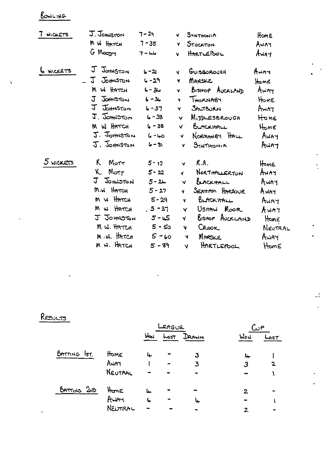## BOWLING

L.

 $\ddot{\phantom{0}}$ 

| 7<br>WICKETS | J. Jomston                  | $7 - 29$   | v.           | STATHONIA            | Home        |
|--------------|-----------------------------|------------|--------------|----------------------|-------------|
|              | M W HATCH                   | $7 - 35$   | Y            | STOCKTON             | AWAY        |
|              | G Moopy                     | $7 - 110$  | ¥            | HARTLEPOOL           | Away        |
| 6 MICKETS    | J JOHNSTON                  | $6 - 21$   | V.           | GUISBOROUGH          | Hway        |
|              | J<br>JOHNSTON               | $6 - 29$   | Y            | MARSKE               | Home        |
|              | W HATCH<br>M                | $6 - 36$   | ¥            | BISHOP AUCKLAND      | Awm         |
|              | $\mathfrak{L}$<br>Jathiston | $6 - 36$   | Ñ            | THORNABY             | HOME        |
|              | J<br>Johnston               | $6 - 37$   | Y            | SALTBURN             | Awry        |
|              | J. JOHNSTON                 | $6 - 38$   | v            | <b>MIDDLESBROUGH</b> | HOME        |
|              | M W HATCH                   | $6 - 38$   | <b>V</b>     | BURCKHALL            | HOME        |
|              | J. JOHNSTON                 | $6 - 40$   | Ń.           | NORMANOY HALL        | <b>HAWA</b> |
|              | J. Johnston                 | $6 - 81$   | v            | SINTHONIA            | Away        |
| 5 WICKETS    | K.<br>Motr                  | $5 - 12$   | v.           | R.A.                 | Home        |
|              | K.<br>M <sub>off</sub>      | $5 - 22$   | Y            | NORTHALLERTON        | Awry        |
|              | J JOHNSTON                  | $5 - 24$   | $\checkmark$ | BLACKHALL            | AWAY        |
|              | M.W HATCH                   | $5 - 27$   | Y.           | SERHAM HARBOUR       | AWAY        |
|              | m w Harren                  | $5 - 29$   | A.           | BLACKHALL            | Away        |
|              | M w HATCH                   | $, 5 - 37$ | Y            | UsHAW Moor           | rnwa        |
|              | J JOHNSTON                  | $5 - 45$   | Y            | BISHOP AUCKLAND      | Hone        |
|              | M W. HATCH                  | $5 - 50$   | ¥            | CROOK                | NEUTRAL     |
|              | M.W. HATCH                  | $5 - 60$   | N            | MARSKE               | AWAY        |
|              | M W. HATCH                  | $5 - 89$   | V            | HARTLEPOOL           | HomE        |

 $\ddot{\cdot}$ 

 $\mathcal{I}$ 

# RESULTS

|              |         |     |      |      | ົມP |                |  |
|--------------|---------|-----|------|------|-----|----------------|--|
|              |         | Way | 7دمہ | Dann | Wou | Lost           |  |
| BATTING IST. | Home    | 4.  |      | З    | Ŀ.  |                |  |
|              | AWAT    |     |      | 3    |     | $\overline{2}$ |  |
|              | NEUTRAL |     |      |      |     |                |  |
| BATTING 200  | HanE    | 4   |      |      | 2   |                |  |
|              | Arian   | 6   |      | ↳    |     |                |  |
|              | NEUTRAL |     |      |      | 2   |                |  |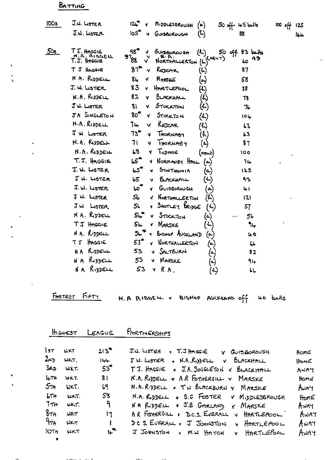## BATTING

| <b>100s</b> | J.W. LISTER<br>$J.W.$ Lister               | $12 +$<br>MIDDLESBROUGH<br>$(\bullet)$<br>105 <sup>2</sup><br>GUISBOROUGH<br>N                              | $50$ off $45$ balls<br>88        | 阳呼<br>125 |
|-------------|--------------------------------------------|-------------------------------------------------------------------------------------------------------------|----------------------------------|-----------|
|             |                                            | (5)                                                                                                         |                                  | طباا      |
| 50s         | T J. HAGGIE<br>N.A. RIDDELL<br>T.J. HAGGIE | 98 <sup>4</sup><br><b>GUISEOROUGH</b><br>$\mathbf{u}$<br>v<br>9788<br>$(k)^{(NEUT)}$<br>Y.<br>NORTHALLERTON | $83$ balls<br>၃၀ နေ့<br>49<br>40 |           |
|             | T J Hncore                                 | $87$ <sup>1</sup><br>REDCAR<br>$(\mathcal{L})$<br>Y                                                         | 87                               |           |
|             | N A. RUDDELL                               | 86<br>$(\tilde{\mathbf{r}})$<br>MARKE<br>٧                                                                  | 58                               |           |
|             | J.W. LISTER                                | 83<br>HARTLEPOOL<br><b>V</b><br>k)                                                                          | 38                               |           |
|             | $N.A.$ Repose                              | 82<br>BLACKHALL<br>(4)<br>v                                                                                 | 78                               |           |
|             | J W. LISTER                                | <b>BI</b><br>STOCKTON<br>(L)<br>v                                                                           | 76                               |           |
|             | JA SINGLETON                               | $80^{\textcolor{red}{\textbf{T}}}$<br>STOCKTON<br>۷<br>(L.)                                                 | 104                              |           |
|             | N.A. RIDDELL                               | 74<br>REDCAR<br>V<br>$\mathcal{L}$                                                                          | 63                               |           |
|             | J W LISTER                                 | $73^{\bullet}$<br>THORNABY<br>(ራ)<br>¥.                                                                     | 63                               |           |
|             | N.A. RUDELL                                | 71<br>THORNABY<br>M<br>$(\bullet)$                                                                          | 37                               |           |
|             | N.A. RIDDELL                               | 68<br>TUDHOE<br>м<br>(newt                                                                                  | 100                              |           |
|             | T.J. HAGGIE                                | టో<br>NORMANBY HALL<br>v.<br>(م                                                                             | 74                               |           |
|             | J. W. LISTER                               | 65<br>SYNTHONIA<br>(၀.)<br>v                                                                                | 123                              |           |
|             | JW. LISTER                                 | 65<br>BLACKHALL<br>اسمبر<br>مسا<br>v                                                                        | 93                               |           |
|             | $J. W.$ LISTER                             | 60 <sup>7</sup><br>GUISBOROUGH<br>Ā.<br>أبعا                                                                | 41                               |           |
|             | J W. LUSTER                                | 56<br>NORTHALERTON<br>$(\mathcal{L})$<br>v.                                                                 | 12 <sub>1</sub>                  |           |
|             | JW LISTER                                  | SHOTLEY BRIDGE<br>54<br>(七)<br>۷                                                                            | 57                               |           |
|             | NA. RIDELL                                 | STOCKTON<br>$5 +$<br>$(\cdot)$<br>v                                                                         | 56                               |           |
|             | TJ HAGGIE                                  | $54 -$<br>$\sim$<br>MARSKE<br>v                                                                             | 94                               |           |
|             | N A. RIDDELL                               | 54<br>BISHOP AUCKLAND<br>(a<br>۷                                                                            | 40                               |           |
|             | HAGGIE<br>て了                               | 53"<br>NORTHALLERTON<br>(⊶                                                                                  | $\mathsf{L}\mathsf{L}$           |           |
|             | RIDDELL<br>N A                             | SALTBURN<br>53<br>v<br>(م                                                                                   | 82                               |           |
|             | RIDDELL<br>NΑ                              | MARSKE<br>53<br>Y.<br>$(\textcolor{red}{\bullet})$                                                          | 94                               |           |
|             | NA RIDDELL                                 | 53<br>RA.<br>り<br>Y                                                                                         | LL.                              |           |

l,

FASTEST FIFTY N.A RIDDELL V BISHOP AUCKLAND off 40 balls

 $\overline{\phantom{a}}$ 

| $H$ GHEST | LEAGUE | PARTNE |
|-----------|--------|--------|
|           |        |        |

 $\sim$   $-$ 

ERSHIPS

| $\mathsf{I}$ | <b>WKT</b>       | $213^{4}$          | J.J. LISTER + T.J HAGGIE V GUISBOROUGH        | Home |
|--------------|------------------|--------------------|-----------------------------------------------|------|
| $2\nu$       | WKT.             | 144                | J.W. LISTER & N.A. RIDDELL V BLACKHALL        | Home |
| حجا          | WK1.             | $53^{\ast}$        | TJ. HAGGIE & J.A. SINGLETON V BLACKHALL       | AWAY |
|              | LITH WKT.        | 81                 | N.A. RUDIELL & A.R FOTHERGILL Y MARSKE        | HOME |
|              | $5n$ NKT.        | 69                 | N.R.R. DDELL . TW BLACKBURN Y MARSKE          | Awry |
| LTH          | WKT.             | 58                 | $N.A.$ Reposit + S.G FOSTER $V$ MippLESBROUGH | HomE |
|              | $7\pi$ $\mu$ KT. | ျာ                 | NA RODELL . J.B GARLAND & MARSKE              | AWAY |
| $8\pi$       | <b>WKT</b>       | 11                 | AR FOTHERGILL . D.C.S. EVERALL & HARTLEPOOL   | AWAY |
| ᠲᡕᠷ          | <b>WKT</b>       | $\mathbf{I}$       | DCS. EVERALL . J JOHNSTON Y HARTLEPOOL        | AWAY |
| IOTH         | <b>WKT</b>       | $\mathsf{L}^\star$ | J JOHNSTON , M.W. HATCH V HARTLEPOOL          | AWAY |
|              |                  |                    |                                               |      |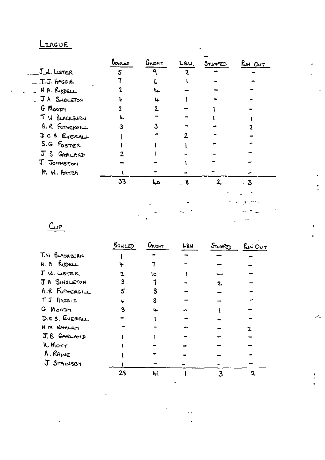## LEAGUE

|                 | baycer | Crucht | LB.W. | STUMPED | $R_{M}$ $Q_{UT}$         |
|-----------------|--------|--------|-------|---------|--------------------------|
| J.W. LISTER     | 5      | Δ      |       |         |                          |
| J.J. HAGGIE     |        |        |       |         |                          |
| - N.A. RIDDELL  |        | \⊾     |       |         |                          |
| - JA SNGLETON   |        | L.     |       |         |                          |
| G MOODY         |        | 2      |       |         |                          |
| T. W BLACKBURN  |        |        |       |         |                          |
| A. R FOTHERGILL | 3      | 3      |       |         |                          |
| DCS. EVERALL    |        |        |       |         |                          |
| S.G FOSTER      |        |        |       |         |                          |
| J B GARLAND     |        |        |       |         |                          |
| J JOHNSTON      |        |        |       |         |                          |
| M W. HATCH      |        |        |       |         |                          |
|                 | 33     | عبا    | - 8   | 2       | . 3                      |
|                 |        |        |       |         |                          |
|                 |        |        |       |         |                          |
|                 |        |        |       |         |                          |
|                 |        |        |       |         | $\overline{\phantom{a}}$ |

 $\cdot$ 

z.

ŗ.

 $Q$ </u>

|                | <u> BOWLED</u> | CAUGHT | L <sub>8</sub> N | STUMPED | $RuN$ $OUT$ |
|----------------|----------------|--------|------------------|---------|-------------|
| T. H BLACKBURN |                |        |                  |         |             |
| R.A RIDELL     |                |        |                  |         |             |
| J W. LISTER    |                | ١o     |                  |         |             |
| J.A SINGLETON  |                |        |                  | 2       |             |
| A.R FOTHERGILL |                |        |                  |         |             |
| TJ HAGGIE      |                | 3      |                  |         |             |
| G MOODY        |                | ц.     |                  |         |             |
| D.C.S. EVERALL |                |        |                  |         |             |
| NM WHALEY      |                |        |                  |         |             |
| J.B GARLAND    |                |        |                  |         |             |
| k.Mort         |                |        |                  |         |             |
| A. RAINE       |                |        |                  |         |             |
| J STAINSBY     |                |        |                  |         |             |
|                | 28             | ц.     |                  |         |             |